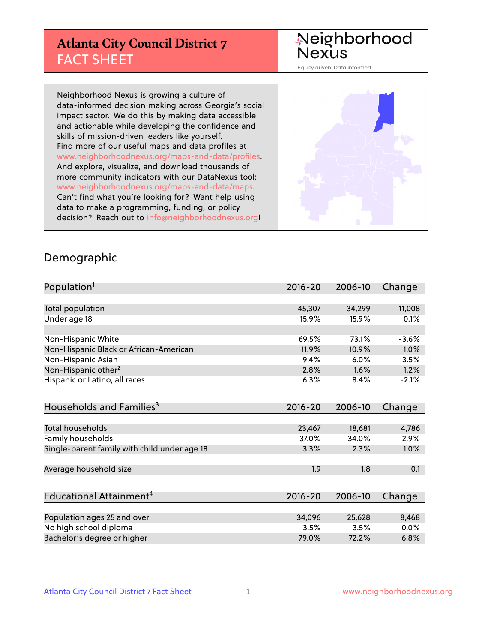# **Atlanta City Council District 7** FACT SHEET

# Neighborhood<br>Nexus

Equity driven. Data informed.

Neighborhood Nexus is growing a culture of data-informed decision making across Georgia's social impact sector. We do this by making data accessible and actionable while developing the confidence and skills of mission-driven leaders like yourself. Find more of our useful maps and data profiles at www.neighborhoodnexus.org/maps-and-data/profiles. And explore, visualize, and download thousands of more community indicators with our DataNexus tool: www.neighborhoodnexus.org/maps-and-data/maps. Can't find what you're looking for? Want help using data to make a programming, funding, or policy decision? Reach out to [info@neighborhoodnexus.org!](mailto:info@neighborhoodnexus.org)



#### Demographic

| Population <sup>1</sup>                      | 2016-20     | 2006-10 | Change  |
|----------------------------------------------|-------------|---------|---------|
|                                              |             |         |         |
| Total population                             | 45,307      | 34,299  | 11,008  |
| Under age 18                                 | 15.9%       | 15.9%   | 0.1%    |
|                                              |             |         |         |
| Non-Hispanic White                           | 69.5%       | 73.1%   | $-3.6%$ |
| Non-Hispanic Black or African-American       | 11.9%       | 10.9%   | 1.0%    |
| Non-Hispanic Asian                           | 9.4%        | 6.0%    | 3.5%    |
| Non-Hispanic other <sup>2</sup>              | 2.8%        | 1.6%    | 1.2%    |
| Hispanic or Latino, all races                | 6.3%        | 8.4%    | $-2.1%$ |
|                                              |             |         |         |
| Households and Families <sup>3</sup>         | $2016 - 20$ | 2006-10 | Change  |
|                                              |             |         |         |
| <b>Total households</b>                      | 23,467      | 18,681  | 4,786   |
| Family households                            | 37.0%       | 34.0%   | 2.9%    |
| Single-parent family with child under age 18 | 3.3%        | 2.3%    | 1.0%    |
|                                              |             |         |         |
| Average household size                       | 1.9         | 1.8     | 0.1     |
|                                              |             |         |         |
| Educational Attainment <sup>4</sup>          | 2016-20     | 2006-10 | Change  |
|                                              |             |         |         |
| Population ages 25 and over                  | 34,096      | 25,628  | 8,468   |
| No high school diploma                       | 3.5%        | 3.5%    | 0.0%    |
| Bachelor's degree or higher                  | 79.0%       | 72.2%   | 6.8%    |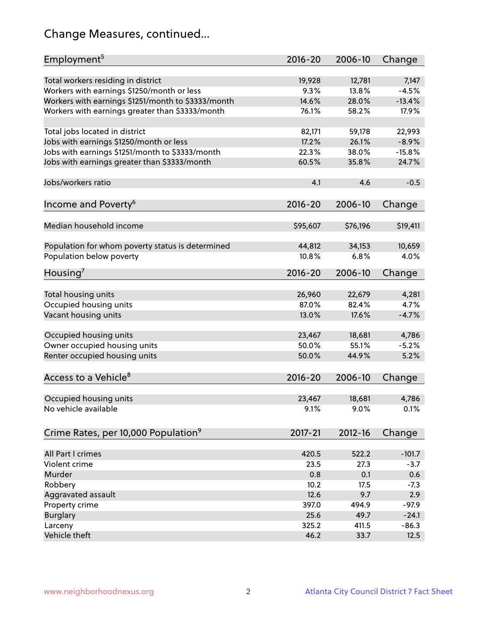# Change Measures, continued...

| Employment <sup>5</sup>                                                      | $2016 - 20$     | 2006-10         | Change           |
|------------------------------------------------------------------------------|-----------------|-----------------|------------------|
|                                                                              |                 |                 |                  |
| Total workers residing in district                                           | 19,928<br>9.3%  | 12,781<br>13.8% | 7,147<br>$-4.5%$ |
| Workers with earnings \$1250/month or less                                   |                 |                 |                  |
| Workers with earnings \$1251/month to \$3333/month                           | 14.6%           | 28.0%           | $-13.4%$         |
| Workers with earnings greater than \$3333/month                              | 76.1%           | 58.2%           | 17.9%            |
| Total jobs located in district                                               | 82,171          | 59,178          | 22,993           |
| Jobs with earnings \$1250/month or less                                      | 17.2%           | 26.1%           | $-8.9%$          |
| Jobs with earnings \$1251/month to \$3333/month                              | 22.3%           | 38.0%           | $-15.8%$         |
| Jobs with earnings greater than \$3333/month                                 | 60.5%           | 35.8%           | 24.7%            |
|                                                                              |                 |                 |                  |
| Jobs/workers ratio                                                           | 4.1             | 4.6             | $-0.5$           |
|                                                                              |                 |                 |                  |
| Income and Poverty <sup>6</sup>                                              | 2016-20         | 2006-10         | Change           |
|                                                                              |                 |                 |                  |
| Median household income                                                      | \$95,607        | \$76,196        | \$19,411         |
|                                                                              | 44,812          | 34,153          | 10,659           |
| Population for whom poverty status is determined<br>Population below poverty | 10.8%           | 6.8%            | 4.0%             |
|                                                                              |                 |                 |                  |
| Housing <sup>7</sup>                                                         | $2016 - 20$     | 2006-10         | Change           |
|                                                                              |                 |                 |                  |
| Total housing units                                                          | 26,960          | 22,679          | 4,281            |
| Occupied housing units                                                       | 87.0%           | 82.4%           | 4.7%             |
| Vacant housing units                                                         | 13.0%           | 17.6%           | $-4.7%$          |
| Occupied housing units                                                       |                 |                 |                  |
|                                                                              | 23,467<br>50.0% | 18,681<br>55.1% | 4,786<br>$-5.2%$ |
| Owner occupied housing units                                                 |                 |                 |                  |
| Renter occupied housing units                                                | 50.0%           | 44.9%           | 5.2%             |
| Access to a Vehicle <sup>8</sup>                                             | $2016 - 20$     | 2006-10         | Change           |
|                                                                              |                 |                 |                  |
| Occupied housing units                                                       | 23,467          | 18,681          | 4,786            |
| No vehicle available                                                         | 9.1%            | 9.0%            | 0.1%             |
|                                                                              |                 |                 |                  |
| Crime Rates, per 10,000 Population <sup>9</sup>                              | 2017-21         | 2012-16         | Change           |
|                                                                              |                 |                 |                  |
| All Part I crimes                                                            | 420.5           | 522.2           | $-101.7$         |
| Violent crime                                                                | 23.5            | 27.3            | $-3.7$           |
| Murder                                                                       | 0.8             | 0.1             | 0.6              |
| Robbery                                                                      | 10.2            | 17.5            | $-7.3$           |
| Aggravated assault                                                           | 12.6            | 9.7             | 2.9              |
| Property crime                                                               | 397.0           | 494.9           | $-97.9$          |
| <b>Burglary</b>                                                              | 25.6            | 49.7            | $-24.1$          |
| Larceny                                                                      | 325.2           | 411.5           | $-86.3$          |
| Vehicle theft                                                                | 46.2            | 33.7            | 12.5             |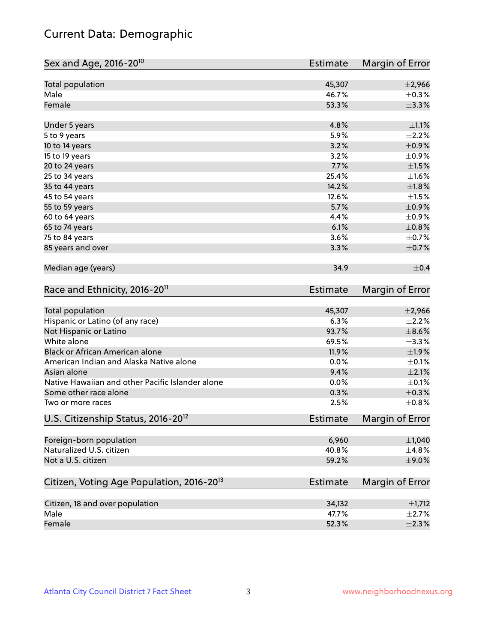# Current Data: Demographic

| Sex and Age, 2016-20 <sup>10</sup>                    | <b>Estimate</b> | Margin of Error |
|-------------------------------------------------------|-----------------|-----------------|
| Total population                                      | 45,307          | $\pm 2,966$     |
| Male                                                  | 46.7%           | $\pm$ 0.3%      |
| Female                                                | 53.3%           | ±3.3%           |
| Under 5 years                                         | 4.8%            | $\pm 1.1\%$     |
| 5 to 9 years                                          | 5.9%            | $\pm 2.2\%$     |
| 10 to 14 years                                        | 3.2%            | $\pm$ 0.9%      |
| 15 to 19 years                                        | 3.2%            | $\pm$ 0.9%      |
| 20 to 24 years                                        | 7.7%            | $\pm1.5\%$      |
| 25 to 34 years                                        | 25.4%           | $\pm 1.6\%$     |
| 35 to 44 years                                        | 14.2%           | ±1.8%           |
| 45 to 54 years                                        | 12.6%           | $\pm 1.5\%$     |
| 55 to 59 years                                        | 5.7%            | $\pm$ 0.9%      |
| 60 to 64 years                                        | 4.4%            | $\pm$ 0.9%      |
| 65 to 74 years                                        | 6.1%            | $\pm$ 0.8%      |
| 75 to 84 years                                        | 3.6%            | $\pm$ 0.7%      |
| 85 years and over                                     | 3.3%            | $\pm$ 0.7%      |
| Median age (years)                                    | 34.9            | $\pm$ 0.4       |
| Race and Ethnicity, 2016-20 <sup>11</sup>             | <b>Estimate</b> | Margin of Error |
| <b>Total population</b>                               | 45,307          | $\pm 2,966$     |
| Hispanic or Latino (of any race)                      | 6.3%            | $\pm 2.2\%$     |
| Not Hispanic or Latino                                | 93.7%           | $\pm$ 8.6%      |
| White alone                                           | 69.5%           | ±3.3%           |
| Black or African American alone                       | 11.9%           | $\pm 1.9\%$     |
| American Indian and Alaska Native alone               | 0.0%            | $\pm$ 0.1%      |
| Asian alone                                           | 9.4%            | $\pm 2.1\%$     |
| Native Hawaiian and other Pacific Islander alone      | 0.0%            | $\pm$ 0.1%      |
| Some other race alone                                 | 0.3%            | $\pm$ 0.3%      |
| Two or more races                                     | 2.5%            | ±0.8%           |
| U.S. Citizenship Status, 2016-20 <sup>12</sup>        | <b>Estimate</b> | Margin of Error |
| Foreign-born population                               | 6,960           | $\pm$ 1,040     |
| Naturalized U.S. citizen                              | 40.8%           | ±4.8%           |
| Not a U.S. citizen                                    | 59.2%           | $\pm$ 9.0%      |
| Citizen, Voting Age Population, 2016-20 <sup>13</sup> | <b>Estimate</b> | Margin of Error |
| Citizen, 18 and over population                       | 34,132          | $\pm$ 1,712     |
| Male                                                  | 47.7%           | $\pm 2.7\%$     |
| Female                                                | 52.3%           | $\pm 2.3\%$     |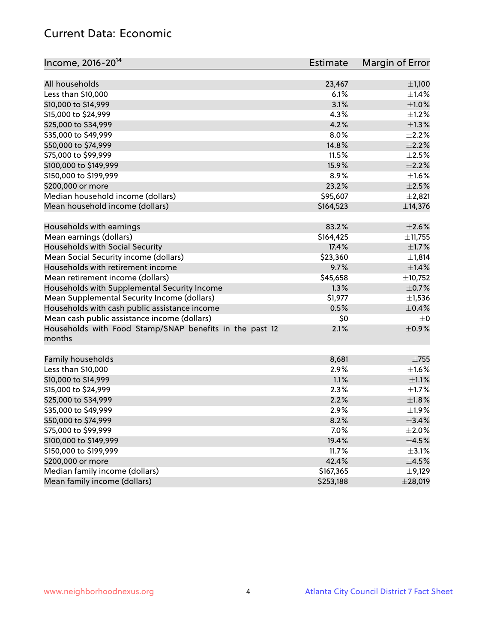## Current Data: Economic

| Income, 2016-20 <sup>14</sup>                           | Estimate  | Margin of Error |
|---------------------------------------------------------|-----------|-----------------|
| All households                                          | 23,467    |                 |
|                                                         |           | ±1,100          |
| Less than \$10,000                                      | 6.1%      | $\pm$ 1.4%      |
| \$10,000 to \$14,999                                    | 3.1%      | $\pm 1.0\%$     |
| \$15,000 to \$24,999                                    | 4.3%      | $\pm 1.2\%$     |
| \$25,000 to \$34,999                                    | 4.2%      | $\pm 1.3\%$     |
| \$35,000 to \$49,999                                    | 8.0%      | $\pm 2.2\%$     |
| \$50,000 to \$74,999                                    | 14.8%     | $\pm 2.2\%$     |
| \$75,000 to \$99,999                                    | 11.5%     | $\pm 2.5\%$     |
| \$100,000 to \$149,999                                  | 15.9%     | $\pm 2.2\%$     |
| \$150,000 to \$199,999                                  | 8.9%      | $\pm 1.6\%$     |
| \$200,000 or more                                       | 23.2%     | $\pm 2.5\%$     |
| Median household income (dollars)                       | \$95,607  | $\pm 2,821$     |
| Mean household income (dollars)                         | \$164,523 | ±14,376         |
| Households with earnings                                | 83.2%     | $\pm 2.6\%$     |
| Mean earnings (dollars)                                 | \$164,425 | ±11,755         |
| Households with Social Security                         | 17.4%     | $\pm1.7\%$      |
| Mean Social Security income (dollars)                   | \$23,360  | ±1,814          |
| Households with retirement income                       | 9.7%      | $\pm 1.4\%$     |
| Mean retirement income (dollars)                        | \$45,658  | ±10,752         |
| Households with Supplemental Security Income            | 1.3%      | $\pm$ 0.7%      |
| Mean Supplemental Security Income (dollars)             | \$1,977   | $\pm$ 1,536     |
| Households with cash public assistance income           | 0.5%      | $\pm$ 0.4%      |
| Mean cash public assistance income (dollars)            | \$0       | $\pm 0$         |
| Households with Food Stamp/SNAP benefits in the past 12 | 2.1%      | $\pm$ 0.9%      |
| months                                                  |           |                 |
|                                                         |           |                 |
| Family households                                       | 8,681     | $\pm 755$       |
| Less than \$10,000                                      | 2.9%      | $\pm 1.6\%$     |
| \$10,000 to \$14,999                                    | 1.1%      | $\pm 1.1\%$     |
| \$15,000 to \$24,999                                    | 2.3%      | $\pm 1.7\%$     |
| \$25,000 to \$34,999                                    | 2.2%      | $\pm1.8\%$      |
| \$35,000 to \$49,999                                    | 2.9%      | $\pm$ 1.9%      |
| \$50,000 to \$74,999                                    | 8.2%      | ±3.4%           |
| \$75,000 to \$99,999                                    | 7.0%      | $\pm 2.0\%$     |
| \$100,000 to \$149,999                                  | 19.4%     | $\pm 4.5\%$     |
| \$150,000 to \$199,999                                  | 11.7%     | $\pm$ 3.1%      |
| \$200,000 or more                                       | 42.4%     | $\pm 4.5\%$     |
| Median family income (dollars)                          | \$167,365 | $\pm$ 9,129     |
| Mean family income (dollars)                            | \$253,188 | ±28,019         |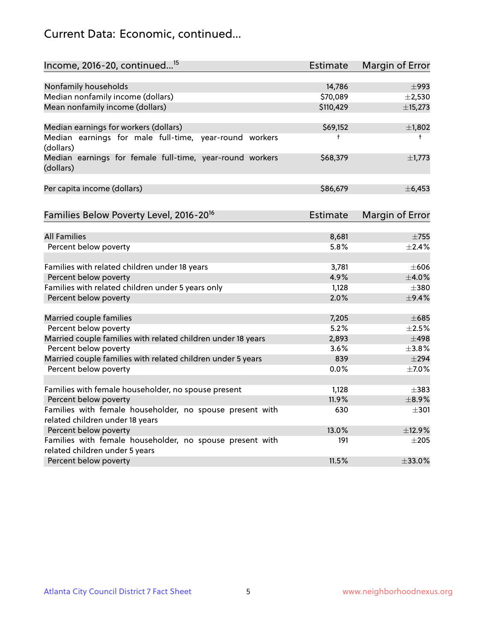# Current Data: Economic, continued...

| Income, 2016-20, continued <sup>15</sup>                                              | <b>Estimate</b> | Margin of Error        |
|---------------------------------------------------------------------------------------|-----------------|------------------------|
|                                                                                       |                 |                        |
| Nonfamily households                                                                  | 14,786          | $\pm$ 993              |
| Median nonfamily income (dollars)                                                     | \$70,089        | $\pm 2,530$            |
| Mean nonfamily income (dollars)                                                       | \$110,429       | ±15,273                |
| Median earnings for workers (dollars)                                                 | \$69,152        | ±1,802                 |
| Median earnings for male full-time, year-round workers<br>(dollars)                   | $\ddagger$      | $^+$                   |
| Median earnings for female full-time, year-round workers<br>(dollars)                 | \$68,379        | $\pm$ 1,773            |
| Per capita income (dollars)                                                           | \$86,679        | ±6,453                 |
| Families Below Poverty Level, 2016-20 <sup>16</sup>                                   | Estimate        | <b>Margin of Error</b> |
|                                                                                       |                 |                        |
| <b>All Families</b>                                                                   | 8,681           | $\pm 755$              |
| Percent below poverty                                                                 | 5.8%            | ±2.4%                  |
| Families with related children under 18 years                                         | 3,781           | $\pm 606$              |
| Percent below poverty                                                                 | 4.9%            | $\pm$ 4.0%             |
| Families with related children under 5 years only                                     | 1,128           | $\pm$ 380              |
| Percent below poverty                                                                 | 2.0%            | $\pm$ 9.4%             |
|                                                                                       | 7,205           | $\pm 685$              |
| Married couple families                                                               | 5.2%            | $\pm 2.5\%$            |
| Percent below poverty                                                                 |                 | $\pm$ 498              |
| Married couple families with related children under 18 years<br>Percent below poverty | 2,893<br>3.6%   | ±3.8%                  |
| Married couple families with related children under 5 years                           | 839             | $\pm$ 294              |
| Percent below poverty                                                                 | $0.0\%$         | $\pm$ 7.0%             |
|                                                                                       |                 |                        |
| Families with female householder, no spouse present                                   | 1,128           | $\pm$ 383              |
| Percent below poverty                                                                 | 11.9%           | $\pm$ 8.9%             |
| Families with female householder, no spouse present with                              | 630             | $\pm 301$              |
| related children under 18 years                                                       |                 |                        |
| Percent below poverty                                                                 | 13.0%           | ±12.9%                 |
| Families with female householder, no spouse present with                              | 191             | $\pm 205$              |
| related children under 5 years                                                        |                 |                        |
| Percent below poverty                                                                 | 11.5%           | ±33.0%                 |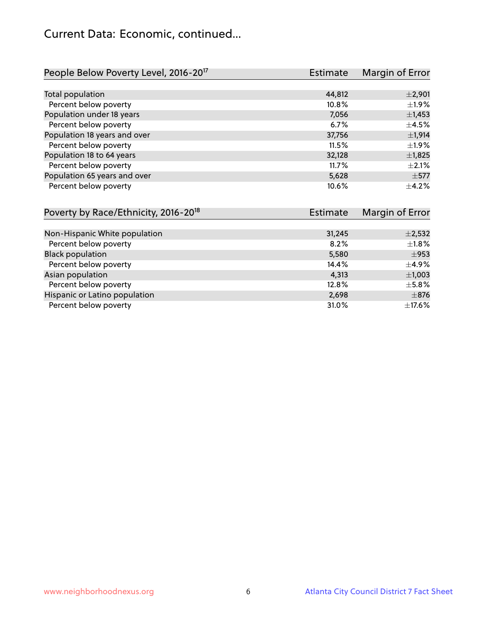# Current Data: Economic, continued...

| People Below Poverty Level, 2016-20 <sup>17</sup> | <b>Estimate</b> | Margin of Error |
|---------------------------------------------------|-----------------|-----------------|
|                                                   |                 |                 |
| Total population                                  | 44,812          | $\pm 2,901$     |
| Percent below poverty                             | 10.8%           | ±1.9%           |
| Population under 18 years                         | 7,056           | $\pm$ 1,453     |
| Percent below poverty                             | 6.7%            | $\pm 4.5\%$     |
| Population 18 years and over                      | 37,756          | $\pm$ 1,914     |
| Percent below poverty                             | 11.5%           | ±1.9%           |
| Population 18 to 64 years                         | 32,128          | $\pm$ 1,825     |
| Percent below poverty                             | 11.7%           | $\pm 2.1\%$     |
| Population 65 years and over                      | 5,628           | $\pm$ 577       |
| Percent below poverty                             | 10.6%           | $+4.2%$         |

| Poverty by Race/Ethnicity, 2016-20 <sup>18</sup> | Estimate | Margin of Error |
|--------------------------------------------------|----------|-----------------|
|                                                  |          |                 |
| Non-Hispanic White population                    | 31,245   | $\pm$ 2,532     |
| Percent below poverty                            | 8.2%     | ±1.8%           |
| <b>Black population</b>                          | 5,580    | $\pm$ 953       |
| Percent below poverty                            | 14.4%    | $\pm$ 4.9%      |
| Asian population                                 | 4,313    | $\pm$ 1,003     |
| Percent below poverty                            | 12.8%    | $\pm$ 5.8%      |
| Hispanic or Latino population                    | 2,698    | $\pm$ 876       |
| Percent below poverty                            | 31.0%    | ±17.6%          |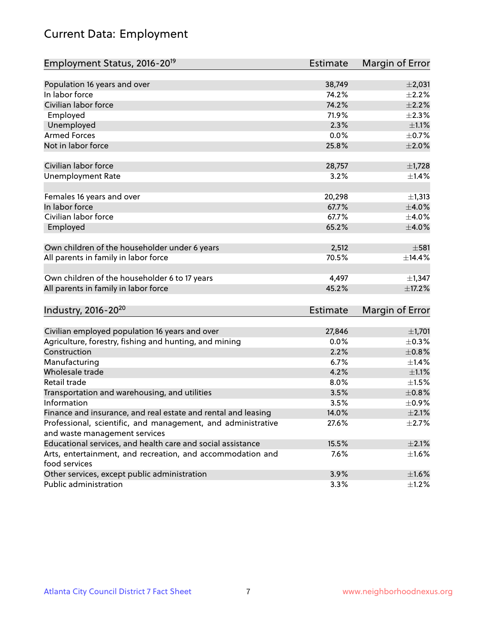# Current Data: Employment

| Employment Status, 2016-20 <sup>19</sup>                      | <b>Estimate</b> | Margin of Error |
|---------------------------------------------------------------|-----------------|-----------------|
|                                                               |                 |                 |
| Population 16 years and over                                  | 38,749          | $\pm 2,031$     |
| In labor force                                                | 74.2%           | $\pm 2.2\%$     |
| Civilian labor force                                          | 74.2%           | $\pm 2.2\%$     |
| Employed                                                      | 71.9%           | $\pm 2.3\%$     |
| Unemployed                                                    | 2.3%            | $\pm 1.1\%$     |
| <b>Armed Forces</b>                                           | 0.0%            | $\pm$ 0.7%      |
| Not in labor force                                            | 25.8%           | $\pm 2.0\%$     |
| Civilian labor force                                          | 28,757          | $\pm$ 1,728     |
| <b>Unemployment Rate</b>                                      | 3.2%            | ±1.4%           |
|                                                               |                 |                 |
| Females 16 years and over                                     | 20,298          | ±1,313          |
| In labor force                                                | 67.7%           | $\pm 4.0\%$     |
| Civilian labor force                                          | 67.7%           | $\pm$ 4.0%      |
| Employed                                                      | 65.2%           | $\pm 4.0\%$     |
| Own children of the householder under 6 years                 | 2,512           | $\pm$ 581       |
|                                                               |                 |                 |
| All parents in family in labor force                          | 70.5%           | ±14.4%          |
| Own children of the householder 6 to 17 years                 | 4,497           | $\pm$ 1,347     |
| All parents in family in labor force                          | 45.2%           | ±17.2%          |
|                                                               |                 |                 |
| Industry, 2016-20 <sup>20</sup>                               | <b>Estimate</b> | Margin of Error |
| Civilian employed population 16 years and over                | 27,846          | ±1,701          |
| Agriculture, forestry, fishing and hunting, and mining        | 0.0%            | $\pm$ 0.3%      |
| Construction                                                  | 2.2%            | $\pm$ 0.8%      |
| Manufacturing                                                 | 6.7%            | ±1.4%           |
| Wholesale trade                                               | 4.2%            | $\pm 1.1\%$     |
| Retail trade                                                  | 8.0%            | $\pm 1.5\%$     |
| Transportation and warehousing, and utilities                 | 3.5%            | $\pm 0.8\%$     |
| Information                                                   | 3.5%            | $\pm$ 0.9%      |
| Finance and insurance, and real estate and rental and leasing | 14.0%           | $\pm 2.1\%$     |
| Professional, scientific, and management, and administrative  | 27.6%           | $\pm 2.7\%$     |
| and waste management services                                 |                 |                 |
| Educational services, and health care and social assistance   | 15.5%           | $\pm 2.1\%$     |
| Arts, entertainment, and recreation, and accommodation and    | 7.6%            | $\pm$ 1.6%      |
| food services                                                 |                 |                 |
| Other services, except public administration                  | 3.9%            | $\pm1.6\%$      |
| Public administration                                         | 3.3%            | $\pm$ 1.2%      |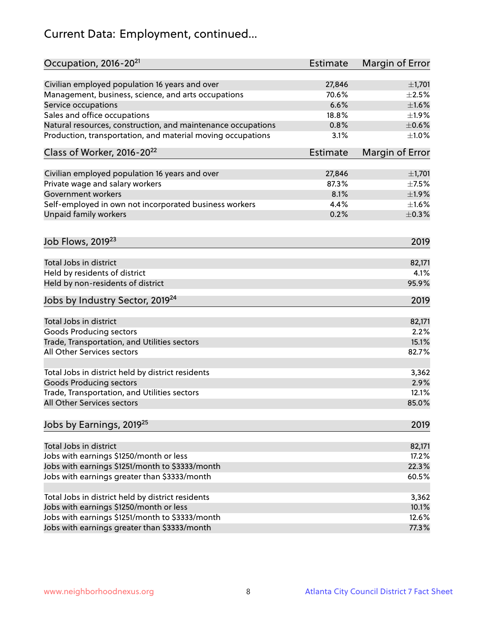# Current Data: Employment, continued...

| Occupation, 2016-20 <sup>21</sup>                            | <b>Estimate</b> | Margin of Error |
|--------------------------------------------------------------|-----------------|-----------------|
| Civilian employed population 16 years and over               | 27,846          | ±1,701          |
| Management, business, science, and arts occupations          | 70.6%           | $\pm 2.5\%$     |
| Service occupations                                          | 6.6%            | $\pm1.6\%$      |
| Sales and office occupations                                 | 18.8%           | ±1.9%           |
| Natural resources, construction, and maintenance occupations | 0.8%            | $\pm$ 0.6%      |
| Production, transportation, and material moving occupations  | 3.1%            | $\pm 1.0\%$     |
| Class of Worker, 2016-20 <sup>22</sup>                       | <b>Estimate</b> | Margin of Error |
| Civilian employed population 16 years and over               | 27,846          | ±1,701          |
| Private wage and salary workers                              | 87.3%           | $\pm$ 7.5%      |
| Government workers                                           | 8.1%            | ±1.9%           |
| Self-employed in own not incorporated business workers       | 4.4%            | $\pm1.6\%$      |
| Unpaid family workers                                        | 0.2%            | $\pm$ 0.3%      |
|                                                              |                 |                 |
| Job Flows, 2019 <sup>23</sup>                                |                 | 2019            |
| Total Jobs in district                                       |                 | 82,171          |
| Held by residents of district                                |                 | 4.1%            |
| Held by non-residents of district                            |                 | 95.9%           |
| Jobs by Industry Sector, 2019 <sup>24</sup>                  |                 | 2019            |
| Total Jobs in district                                       |                 | 82,171          |
| <b>Goods Producing sectors</b>                               |                 | 2.2%            |
| Trade, Transportation, and Utilities sectors                 |                 | 15.1%           |
| All Other Services sectors                                   |                 | 82.7%           |
|                                                              |                 |                 |
| Total Jobs in district held by district residents            |                 | 3,362           |
| <b>Goods Producing sectors</b>                               |                 | 2.9%            |
| Trade, Transportation, and Utilities sectors                 |                 | 12.1%           |
| All Other Services sectors                                   |                 | 85.0%           |
| Jobs by Earnings, 2019 <sup>25</sup>                         |                 | 2019            |
| Total Jobs in district                                       |                 | 82,171          |
|                                                              |                 |                 |
| Jobs with earnings \$1250/month or less                      |                 | 17.2%           |
| Jobs with earnings \$1251/month to \$3333/month              |                 | 22.3%           |
| Jobs with earnings greater than \$3333/month                 |                 | 60.5%           |
| Total Jobs in district held by district residents            |                 | 3,362           |
| Jobs with earnings \$1250/month or less                      |                 | 10.1%           |
| Jobs with earnings \$1251/month to \$3333/month              |                 | 12.6%           |
| Jobs with earnings greater than \$3333/month                 |                 | 77.3%           |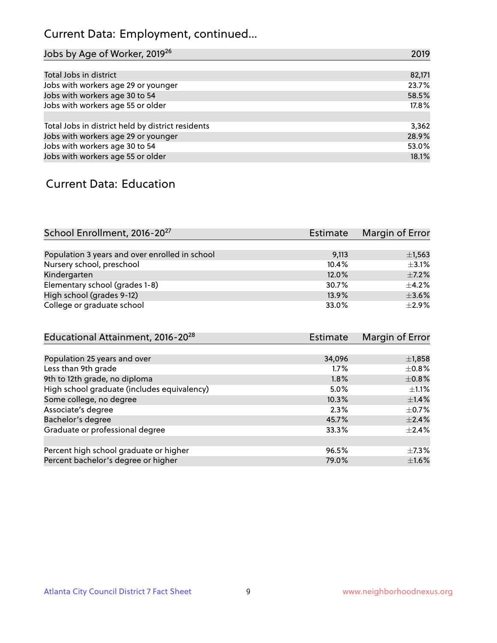# Current Data: Employment, continued...

| Jobs by Age of Worker, 2019 <sup>26</sup>         | 2019   |
|---------------------------------------------------|--------|
|                                                   |        |
| Total Jobs in district                            | 82,171 |
| Jobs with workers age 29 or younger               | 23.7%  |
| Jobs with workers age 30 to 54                    | 58.5%  |
| Jobs with workers age 55 or older                 | 17.8%  |
|                                                   |        |
| Total Jobs in district held by district residents | 3,362  |
| Jobs with workers age 29 or younger               | 28.9%  |
| Jobs with workers age 30 to 54                    | 53.0%  |
| Jobs with workers age 55 or older                 | 18.1%  |

### Current Data: Education

| School Enrollment, 2016-20 <sup>27</sup>       | Estimate | Margin of Error |
|------------------------------------------------|----------|-----------------|
|                                                |          |                 |
| Population 3 years and over enrolled in school | 9,113    | $\pm$ 1,563     |
| Nursery school, preschool                      | 10.4%    | $\pm$ 3.1%      |
| Kindergarten                                   | 12.0%    | $\pm$ 7.2%      |
| Elementary school (grades 1-8)                 | 30.7%    | $\pm$ 4.2%      |
| High school (grades 9-12)                      | 13.9%    | $\pm$ 3.6%      |
| College or graduate school                     | 33.0%    | $+2.9%$         |

| Educational Attainment, 2016-20 <sup>28</sup> | <b>Estimate</b> | Margin of Error |
|-----------------------------------------------|-----------------|-----------------|
|                                               |                 |                 |
| Population 25 years and over                  | 34,096          | $\pm$ 1,858     |
| Less than 9th grade                           | 1.7%            | $\pm$ 0.8%      |
| 9th to 12th grade, no diploma                 | 1.8%            | $\pm$ 0.8%      |
| High school graduate (includes equivalency)   | 5.0%            | $\pm 1.1\%$     |
| Some college, no degree                       | 10.3%           | $\pm$ 1.4%      |
| Associate's degree                            | 2.3%            | $\pm$ 0.7%      |
| Bachelor's degree                             | 45.7%           | $\pm 2.4\%$     |
| Graduate or professional degree               | 33.3%           | $\pm 2.4\%$     |
|                                               |                 |                 |
| Percent high school graduate or higher        | 96.5%           | $\pm$ 7.3%      |
| Percent bachelor's degree or higher           | 79.0%           | $\pm1.6\%$      |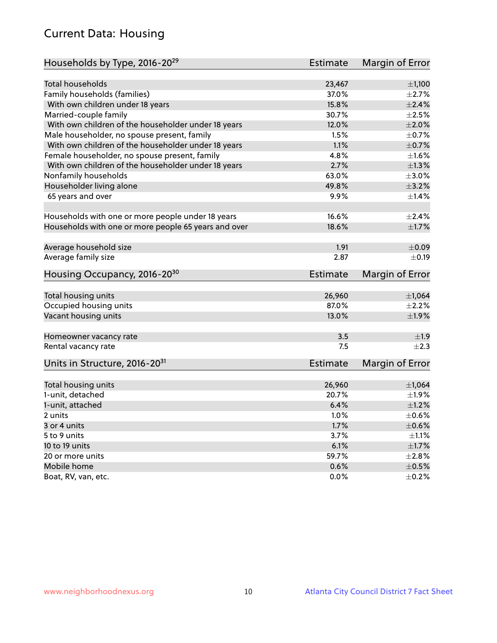# Current Data: Housing

| Households by Type, 2016-20 <sup>29</sup>            | <b>Estimate</b> | Margin of Error        |
|------------------------------------------------------|-----------------|------------------------|
|                                                      |                 |                        |
| Total households                                     | 23,467          | $\pm$ 1,100            |
| Family households (families)                         | 37.0%           | $\pm 2.7\%$            |
| With own children under 18 years                     | 15.8%           | $\pm 2.4\%$            |
| Married-couple family                                | 30.7%           | $\pm 2.5\%$            |
| With own children of the householder under 18 years  | 12.0%           | $\pm 2.0\%$            |
| Male householder, no spouse present, family          | 1.5%            | $\pm$ 0.7%             |
| With own children of the householder under 18 years  | 1.1%            | $\pm$ 0.7%             |
| Female householder, no spouse present, family        | 4.8%            | $\pm 1.6\%$            |
| With own children of the householder under 18 years  | 2.7%            | $\pm 1.3\%$            |
| Nonfamily households                                 | 63.0%           | $\pm 3.0\%$            |
| Householder living alone                             | 49.8%           | $\pm$ 3.2%             |
| 65 years and over                                    | $9.9\%$         | $\pm$ 1.4%             |
|                                                      |                 |                        |
| Households with one or more people under 18 years    | 16.6%           | $\pm 2.4\%$            |
| Households with one or more people 65 years and over | 18.6%           | $\pm1.7\%$             |
| Average household size                               | 1.91            | $\pm$ 0.09             |
|                                                      | 2.87            |                        |
| Average family size                                  |                 | $\pm$ 0.19             |
| Housing Occupancy, 2016-20 <sup>30</sup>             | <b>Estimate</b> | Margin of Error        |
| Total housing units                                  | 26,960          | ±1,064                 |
| Occupied housing units                               | 87.0%           | $\pm 2.2\%$            |
| Vacant housing units                                 | 13.0%           | ±1.9%                  |
|                                                      |                 |                        |
| Homeowner vacancy rate                               | 3.5             | ±1.9                   |
| Rental vacancy rate                                  | 7.5             | $\pm 2.3$              |
| Units in Structure, 2016-20 <sup>31</sup>            | Estimate        | <b>Margin of Error</b> |
|                                                      |                 |                        |
| Total housing units                                  | 26,960          | $\pm$ 1,064            |
| 1-unit, detached                                     | 20.7%           | ±1.9%                  |
| 1-unit, attached                                     | 6.4%            | $\pm 1.2\%$            |
| 2 units                                              | 1.0%            | $\pm$ 0.6%             |
| 3 or 4 units                                         | 1.7%            | $\pm$ 0.6%             |
| 5 to 9 units                                         | 3.7%            | $\pm 1.1\%$            |
| 10 to 19 units                                       | 6.1%            | $\pm 1.7\%$            |
| 20 or more units                                     | 59.7%           | $\pm 2.8\%$            |
| Mobile home                                          | 0.6%            | $\pm$ 0.5%             |
| Boat, RV, van, etc.                                  | $0.0\%$         | $\pm$ 0.2%             |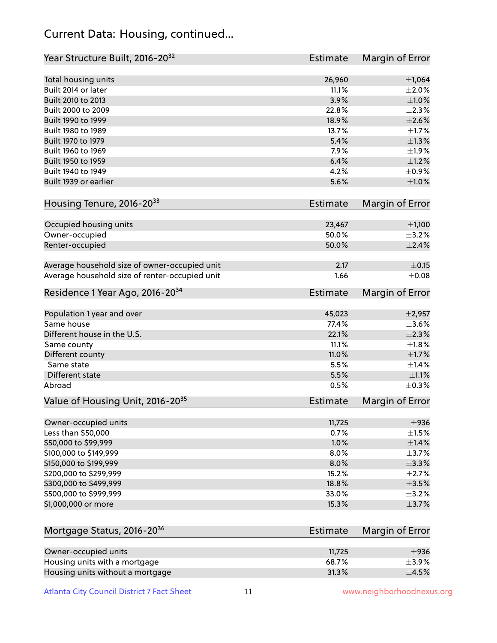### Current Data: Housing, continued...

| Year Structure Built, 2016-20 <sup>32</sup>    | <b>Estimate</b> | Margin of Error |
|------------------------------------------------|-----------------|-----------------|
| Total housing units                            | 26,960          | $\pm 1,064$     |
| Built 2014 or later                            | 11.1%           | $\pm 2.0\%$     |
| Built 2010 to 2013                             | 3.9%            | $\pm 1.0\%$     |
| Built 2000 to 2009                             | 22.8%           | $\pm 2.3\%$     |
| Built 1990 to 1999                             | 18.9%           | $\pm 2.6\%$     |
| Built 1980 to 1989                             | 13.7%           | $\pm 1.7\%$     |
| Built 1970 to 1979                             | 5.4%            | $\pm 1.3\%$     |
| Built 1960 to 1969                             | 7.9%            | ±1.9%           |
| Built 1950 to 1959                             | 6.4%            | $\pm 1.2\%$     |
| Built 1940 to 1949                             | 4.2%            | $\pm$ 0.9%      |
| Built 1939 or earlier                          | 5.6%            | $\pm 1.0\%$     |
| Housing Tenure, 2016-2033                      | Estimate        | Margin of Error |
|                                                |                 |                 |
| Occupied housing units                         | 23,467          | $\pm$ 1,100     |
| Owner-occupied                                 | 50.0%           | $\pm$ 3.2%      |
| Renter-occupied                                | 50.0%           | $\pm 2.4\%$     |
| Average household size of owner-occupied unit  | 2.17            | $\pm$ 0.15      |
| Average household size of renter-occupied unit | 1.66            | $\pm 0.08$      |
| Residence 1 Year Ago, 2016-20 <sup>34</sup>    | <b>Estimate</b> | Margin of Error |
| Population 1 year and over                     | 45,023          | $\pm$ 2,957     |
| Same house                                     | 77.4%           | $\pm 3.6\%$     |
| Different house in the U.S.                    | 22.1%           | $\pm 2.3\%$     |
| Same county                                    | 11.1%           | $\pm1.8\%$      |
| Different county                               | 11.0%           | $\pm1.7\%$      |
| Same state                                     | 5.5%            | $\pm$ 1.4%      |
| <b>Different state</b>                         | 5.5%            | $\pm 1.1\%$     |
| Abroad                                         | 0.5%            | $\pm$ 0.3%      |
| Value of Housing Unit, 2016-20 <sup>35</sup>   | <b>Estimate</b> | Margin of Error |
|                                                |                 |                 |
| Owner-occupied units                           | 11,725          | $\pm$ 936       |
| Less than \$50,000                             | 0.7%            | $\pm 1.5\%$     |
| \$50,000 to \$99,999                           | 1.0%            | $\pm$ 1.4%      |
| \$100,000 to \$149,999                         | 8.0%            | $\pm$ 3.7%      |
| \$150,000 to \$199,999                         | 8.0%            | $\pm$ 3.3%      |
| \$200,000 to \$299,999                         | 15.2%           | $\pm 2.7\%$     |
| \$300,000 to \$499,999                         | 18.8%           | $\pm$ 3.5%      |
| \$500,000 to \$999,999                         | 33.0%           | $\pm$ 3.2%      |
| \$1,000,000 or more                            | 15.3%           | $\pm$ 3.7%      |
| Mortgage Status, 2016-20 <sup>36</sup>         | <b>Estimate</b> | Margin of Error |
|                                                |                 |                 |
| Owner-occupied units                           | 11,725          | $\pm$ 936       |
| Housing units with a mortgage                  | 68.7%           | $\pm$ 3.9%      |
| Housing units without a mortgage               | 31.3%           | $\pm$ 4.5%      |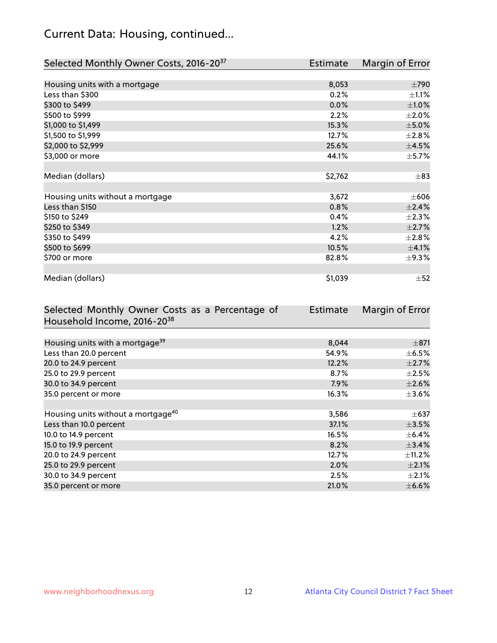# Current Data: Housing, continued...

| Selected Monthly Owner Costs, 2016-20 <sup>37</sup> | Estimate | Margin of Error |
|-----------------------------------------------------|----------|-----------------|
|                                                     |          |                 |
| Housing units with a mortgage                       | 8,053    | $\pm 790$       |
| Less than \$300                                     | 0.2%     | $\pm 1.1\%$     |
| \$300 to \$499                                      | 0.0%     | $\pm1.0\%$      |
| \$500 to \$999                                      | 2.2%     | $\pm 2.0\%$     |
| \$1,000 to \$1,499                                  | 15.3%    | $\pm$ 5.0%      |
| \$1,500 to \$1,999                                  | 12.7%    | $\pm 2.8\%$     |
| \$2,000 to \$2,999                                  | 25.6%    | $\pm$ 4.5%      |
| \$3,000 or more                                     | 44.1%    | $\pm$ 5.7%      |
|                                                     |          |                 |
| Median (dollars)                                    | \$2,762  | $\pm$ 83        |
|                                                     |          |                 |
| Housing units without a mortgage                    | 3,672    | $\pm 606$       |
| Less than \$150                                     | 0.8%     | ±2.4%           |
| \$150 to \$249                                      | 0.4%     | $\pm 2.3\%$     |
| \$250 to \$349                                      | 1.2%     | $\pm 2.7\%$     |
| \$350 to \$499                                      | 4.2%     | $\pm 2.8\%$     |
| \$500 to \$699                                      | 10.5%    | $\pm$ 4.1%      |
| \$700 or more                                       | 82.8%    | $\pm$ 9.3%      |
|                                                     |          |                 |
| Median (dollars)                                    | \$1,039  | $\pm$ 52        |

| Selected Monthly Owner Costs as a Percentage of | <b>Estimate</b> | Margin of Error |
|-------------------------------------------------|-----------------|-----------------|
| Household Income, 2016-2038                     |                 |                 |
|                                                 |                 |                 |
| Housing units with a mortgage <sup>39</sup>     | 8,044           | $\pm$ 871       |
| Less than 20.0 percent                          | 54.9%           | $\pm$ 6.5%      |
| 20.0 to 24.9 percent                            | 12.2%           | $\pm 2.7\%$     |
| 25.0 to 29.9 percent                            | 8.7%            | $\pm 2.5\%$     |
| 30.0 to 34.9 percent                            | 7.9%            | $\pm 2.6\%$     |
| 35.0 percent or more                            | 16.3%           | $\pm 3.6\%$     |
|                                                 |                 |                 |
| Housing units without a mortgage <sup>40</sup>  | 3,586           | $\pm$ 637       |
| Less than 10.0 percent                          | 37.1%           | $\pm$ 3.5%      |
| 10.0 to 14.9 percent                            | 16.5%           | $\pm$ 6.4%      |
| 15.0 to 19.9 percent                            | 8.2%            | $\pm$ 3.4%      |
| 20.0 to 24.9 percent                            | 12.7%           | $\pm$ 11.2%     |
| 25.0 to 29.9 percent                            | 2.0%            | $\pm 2.1\%$     |
| 30.0 to 34.9 percent                            | 2.5%            | $\pm 2.1\%$     |
| 35.0 percent or more                            | 21.0%           | $\pm$ 6.6%      |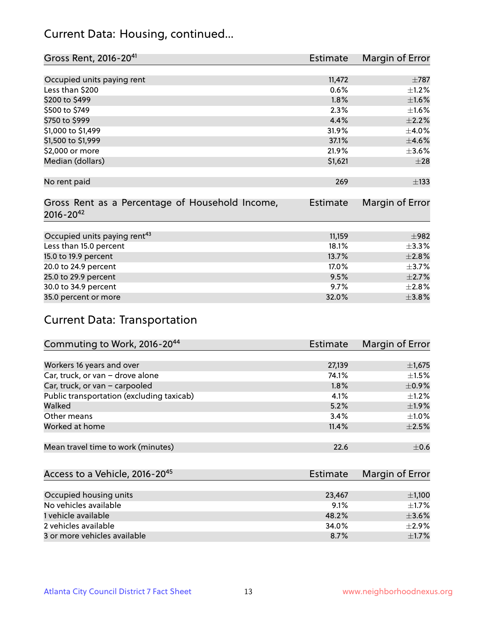### Current Data: Housing, continued...

| Gross Rent, 2016-20 <sup>41</sup>                                   | Estimate        | Margin of Error |
|---------------------------------------------------------------------|-----------------|-----------------|
|                                                                     |                 |                 |
| Occupied units paying rent                                          | 11,472          | $\pm 787$       |
| Less than \$200                                                     | 0.6%            | $\pm$ 1.2%      |
| \$200 to \$499                                                      | 1.8%            | $\pm1.6\%$      |
| \$500 to \$749                                                      | 2.3%            | $\pm 1.6\%$     |
| \$750 to \$999                                                      | 4.4%            | $\pm 2.2\%$     |
| \$1,000 to \$1,499                                                  | 31.9%           | $\pm$ 4.0%      |
| \$1,500 to \$1,999                                                  | 37.1%           | $\pm 4.6\%$     |
| \$2,000 or more                                                     | 21.9%           | $\pm 3.6\%$     |
| Median (dollars)                                                    | \$1,621         | $\pm 28$        |
|                                                                     |                 |                 |
| No rent paid                                                        | 269             | $\pm$ 133       |
| Gross Rent as a Percentage of Household Income,<br>$2016 - 20^{42}$ | <b>Estimate</b> | Margin of Error |
|                                                                     |                 |                 |
| Occupied units paying rent <sup>43</sup>                            | 11,159          | $\pm$ 982       |
| Less than 15.0 percent                                              | 18.1%           | ±3.3%           |
| 15.0 to 19.9 percent                                                | 13.7%           | $\pm 2.8\%$     |
| 20.0 to 24.9 percent                                                | 17.0%           | $\pm$ 3.7%      |
| 25.0 to 29.9 percent                                                | 9.5%            | $\pm 2.7\%$     |
| 30.0 to 34.9 percent                                                | 9.7%            | $\pm 2.8\%$     |
| 35.0 percent or more                                                | 32.0%           | $\pm$ 3.8%      |

# Current Data: Transportation

| Commuting to Work, 2016-20 <sup>44</sup>  | <b>Estimate</b> | Margin of Error |
|-------------------------------------------|-----------------|-----------------|
|                                           |                 |                 |
| Workers 16 years and over                 | 27,139          | $\pm$ 1,675     |
| Car, truck, or van - drove alone          | 74.1%           | $\pm 1.5\%$     |
| Car, truck, or van - carpooled            | $1.8\%$         | $\pm$ 0.9%      |
| Public transportation (excluding taxicab) | 4.1%            | $+1.2%$         |
| Walked                                    | 5.2%            | ±1.9%           |
| Other means                               | 3.4%            | $\pm 1.0\%$     |
| Worked at home                            | 11.4%           | $\pm 2.5\%$     |
|                                           |                 |                 |
| Mean travel time to work (minutes)        | 22.6            | $\pm$ 0.6       |

| Access to a Vehicle, 2016-20 <sup>45</sup> | Estimate | <b>Margin of Error</b> |
|--------------------------------------------|----------|------------------------|
|                                            |          |                        |
| Occupied housing units                     | 23,467   | $\pm$ 1,100            |
| No vehicles available                      | 9.1%     | $+1.7%$                |
| 1 vehicle available                        | 48.2%    | $\pm$ 3.6%             |
| 2 vehicles available                       | 34.0%    | $\pm$ 2.9%             |
| 3 or more vehicles available               | 8.7%     | $+1.7%$                |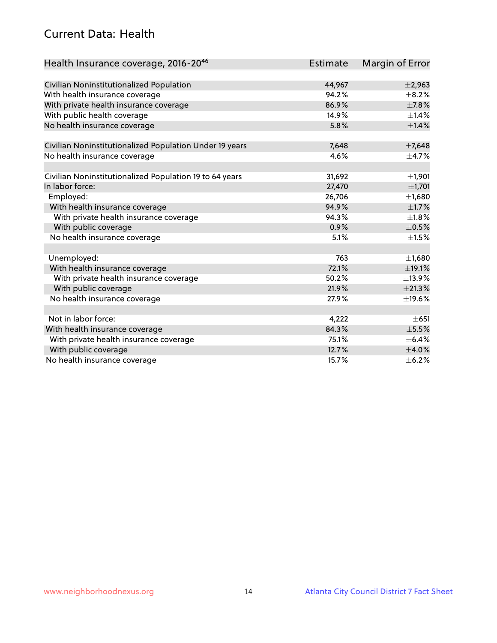### Current Data: Health

| Health Insurance coverage, 2016-2046                    | Estimate | Margin of Error |
|---------------------------------------------------------|----------|-----------------|
|                                                         |          |                 |
| Civilian Noninstitutionalized Population                | 44,967   | $\pm 2,963$     |
| With health insurance coverage                          | 94.2%    | $\pm$ 8.2%      |
| With private health insurance coverage                  | 86.9%    | $\pm$ 7.8%      |
| With public health coverage                             | 14.9%    | $\pm$ 1.4%      |
| No health insurance coverage                            | 5.8%     | $\pm1.4\%$      |
| Civilian Noninstitutionalized Population Under 19 years | 7,648    | $\pm$ 7,648     |
|                                                         | 4.6%     |                 |
| No health insurance coverage                            |          | $\pm$ 4.7%      |
| Civilian Noninstitutionalized Population 19 to 64 years | 31,692   | ±1,901          |
| In labor force:                                         | 27,470   | ±1,701          |
| Employed:                                               | 26,706   | ±1,680          |
| With health insurance coverage                          | 94.9%    | $\pm1.7\%$      |
| With private health insurance coverage                  | 94.3%    | $\pm 1.8\%$     |
| With public coverage                                    | 0.9%     | $\pm$ 0.5%      |
| No health insurance coverage                            | 5.1%     | $\pm 1.5\%$     |
|                                                         |          |                 |
| Unemployed:                                             | 763      | ±1,680          |
| With health insurance coverage                          | 72.1%    | ±19.1%          |
| With private health insurance coverage                  | 50.2%    | ±13.9%          |
| With public coverage                                    | 21.9%    | ±21.3%          |
| No health insurance coverage                            | 27.9%    | ±19.6%          |
|                                                         |          |                 |
| Not in labor force:                                     | 4,222    | $\pm 651$       |
| With health insurance coverage                          | 84.3%    | $\pm$ 5.5%      |
| With private health insurance coverage                  | 75.1%    | $\pm$ 6.4%      |
| With public coverage                                    | 12.7%    | $\pm$ 4.0%      |
| No health insurance coverage                            | 15.7%    | $\pm$ 6.2%      |